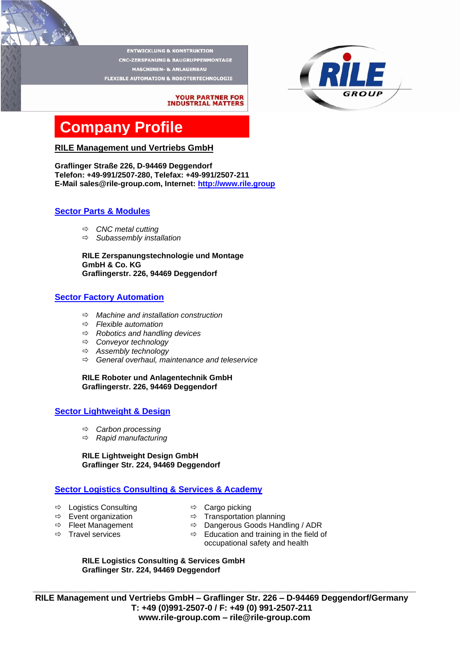**ENTWICKLUNG & KONSTRUKTION CNC-ZERSPANUNG & BAUGRUPPENMONTAGE MASCHINEN- & ANLAGENBAU FLEXIBLE AUTOMATION & ROBOTERTECHNOLOGIE** 

## **YOUR PARTNER FOR<br>INDUSTRIAL MATTERS**

# **Company Profile**

### **RILE Management und Vertriebs GmbH**

**Graflinger Straße 226, D-94469 Deggendorf Telefon: +49-991/2507-280, Telefax: +49-991/2507-211 E-Mail sales@rile-group.com, Internet: [http://www.rile.group](http://www.rile.group/)**

## **Sector Parts & Modules**

- *CNC metal cutting*
- *Subassembly installation*

**RILE Zerspanungstechnologie und Montage GmbH & Co. KG Graflingerstr. 226, 94469 Deggendorf**

## **Sector Factory Automation**

- *Machine and installation construction*
- *Flexible automation*
- *Robotics and handling devices*
- *Conveyor technology*
- *Assembly technology*
- *General overhaul, maintenance and teleservice*

**RILE Roboter und Anlagentechnik GmbH Graflingerstr. 226, 94469 Deggendorf**

### **Sector Lightweight & Design**

- *Carbon processing*
- *Rapid manufacturing*

#### **RILE Lightweight Design GmbH Graflinger Str. 224, 94469 Deggendorf**

## **Sector Logistics Consulting & Services & Academy**

- $\Rightarrow$  Logistics Consulting  $\Rightarrow$  Cargo picking
- 
- 
- 
- 
- $\Rightarrow$  Event organization  $\Rightarrow$  Transportation planning
- $\Rightarrow$  Fleet Management  $\Rightarrow$  Dangerous Goods Handling / ADR<br> $\Rightarrow$  Travel services  $\Rightarrow$  Education and training in the field c
	- $\Rightarrow$  Education and training in the field of occupational safety and health

**RILE Logistics Consulting & Services GmbH Graflinger Str. 224, 94469 Deggendorf**

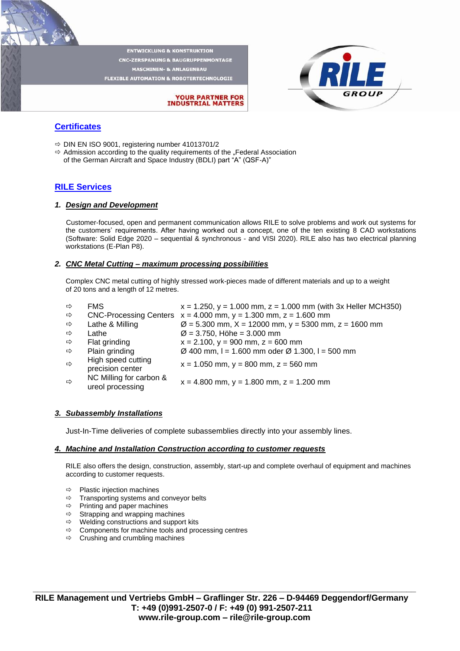**ENTWICKLUNG & KONSTRUKTION CNC-ZERSPANUNG & BAUGRUPPENMONTAGE MASCHINEN- & ANLAGENBAL** FLEXIBLE AUTOMATION & ROBOTERTECHNOLOGIE



## **YOUR PARTNER FOR<br>INDUSTRIAL MATTERS**

## **Certificates**

- $\Rightarrow$  DIN EN ISO 9001, registering number 41013701/2
- $\Rightarrow$  Admission according to the quality requirements of the "Federal Association of the German Aircraft and Space Industry (BDLI) part "A" (QSF-A)"

### **RILE Services**

#### *1. Design and Development*

Customer-focused, open and permanent communication allows RILE to solve problems and work out systems for the customers' requirements. After having worked out a concept, one of the ten existing 8 CAD workstations (Software: Solid Edge 2020 – sequential & synchronous - and VISI 2020). RILE also has two electrical planning workstations (E-Plan P8).

#### *2. CNC Metal Cutting – maximum processing possibilities*

Complex CNC metal cutting of highly stressed work-pieces made of different materials and up to a weight of 20 tons and a length of 12 metres.

| $\Rightarrow$ | <b>FMS</b>                                  | $x = 1.250$ , $y = 1.000$ mm, $z = 1.000$ mm (with 3x Heller MCH350)    |
|---------------|---------------------------------------------|-------------------------------------------------------------------------|
| $\Rightarrow$ |                                             | CNC-Processing Centers $x = 4.000$ mm, $y = 1.300$ mm, $z = 1.600$ mm   |
| $\Rightarrow$ | Lathe & Milling                             | $\varnothing$ = 5.300 mm, X = 12000 mm, y = 5300 mm, z = 1600 mm        |
| $\Rightarrow$ | Lathe                                       | $\varnothing$ = 3.750, Höhe = 3.000 mm                                  |
| $\Rightarrow$ | Flat grinding                               | $x = 2.100$ , $y = 900$ mm, $z = 600$ mm                                |
| $\Rightarrow$ | Plain grinding                              | $\varnothing$ 400 mm, I = 1.600 mm oder $\varnothing$ 1.300, I = 500 mm |
| $\Rightarrow$ | High speed cutting<br>precision center      | $x = 1.050$ mm, $y = 800$ mm, $z = 560$ mm                              |
| $\Rightarrow$ | NC Milling for carbon &<br>ureol processing | $x = 4.800$ mm, $y = 1.800$ mm, $z = 1.200$ mm                          |
|               |                                             |                                                                         |

#### *3. Subassembly Installations*

Just-In-Time deliveries of complete subassemblies directly into your assembly lines.

#### *4. Machine and Installation Construction according to customer requests*

RILE also offers the design, construction, assembly, start-up and complete overhaul of equipment and machines according to customer requests.

- $\Rightarrow$  Plastic injection machines
- $\Rightarrow$  Transporting systems and conveyor belts
- $\Rightarrow$  Printing and paper machines
- $\Rightarrow$  Strapping and wrapping machines
- $\Rightarrow$  Welding constructions and support kits
- $\Rightarrow$  Components for machine tools and processing centres
- $\Rightarrow$  Crushing and crumbling machines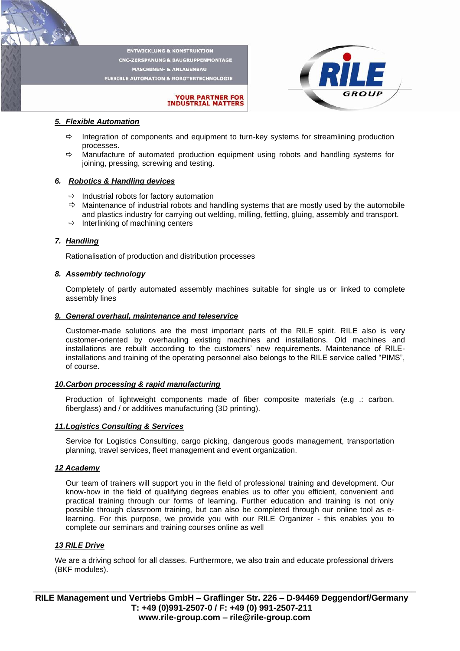**ENTWICKLUNG & KONSTRUKTION CNC-ZERSPANUNG & BAUGRUPPENMONTAGE MASCHINEN- & ANLAGENBAU** FLEXIBLE AUTOMATION & ROBOTERTECHNOLOGIE



## **YOUR PARTNER FOR<br>INDUSTRIAL MATTERS**

#### *5. Flexible Automation*

- $\Rightarrow$  Integration of components and equipment to turn-key systems for streamlining production processes.
- $\Rightarrow$  Manufacture of automated production equipment using robots and handling systems for joining, pressing, screwing and testing.

#### *6. Robotics & Handling devices*

- $\Rightarrow$  Industrial robots for factory automation
- $\Rightarrow$  Maintenance of industrial robots and handling systems that are mostly used by the automobile and plastics industry for carrying out welding, milling, fettling, gluing, assembly and transport.
- $\Rightarrow$  Interlinking of machining centers

#### *7. Handling*

Rationalisation of production and distribution processes

#### *8. Assembly technology*

Completely of partly automated assembly machines suitable for single us or linked to complete assembly lines

#### *9. General overhaul, maintenance and teleservice*

Customer-made solutions are the most important parts of the RILE spirit. RILE also is very customer-oriented by overhauling existing machines and installations. Old machines and installations are rebuilt according to the customers' new requirements. Maintenance of RILEinstallations and training of the operating personnel also belongs to the RILE service called "PIMS", of course.

#### *10.Carbon processing & rapid manufacturing*

Production of lightweight components made of fiber composite materials (e.g .: carbon, fiberglass) and / or additives manufacturing (3D printing).

#### *11.Logistics Consulting & Services*

Service for Logistics Consulting, cargo picking, dangerous goods management, transportation planning, travel services, fleet management and event organization.

#### *12 Academy*

Our team of trainers will support you in the field of professional training and development. Our know-how in the field of qualifying degrees enables us to offer you efficient, convenient and practical training through our forms of learning. Further education and training is not only possible through classroom training, but can also be completed through our online tool as elearning. For this purpose, we provide you with our RILE Organizer - this enables you to complete our seminars and training courses online as well

#### *13 RILE Drive*

We are a driving school for all classes. Furthermore, we also train and educate professional drivers (BKF modules).

**\_\_\_\_\_\_\_\_\_\_\_\_\_\_\_\_\_\_\_\_\_\_\_\_\_\_\_\_\_\_\_\_\_\_\_\_\_\_\_\_\_\_\_\_\_\_\_\_\_\_\_\_\_\_\_\_\_\_\_\_\_\_\_\_\_\_\_\_\_\_\_\_\_\_\_\_\_\_\_\_\_ RILE Management und Vertriebs GmbH – Graflinger Str. 226 – D-94469 Deggendorf/Germany T: +49 (0)991-2507-0 / F: +49 (0) 991-2507-211 [www.rile-group.com](http://www.rile-group.com/) – rile@rile-group.com**